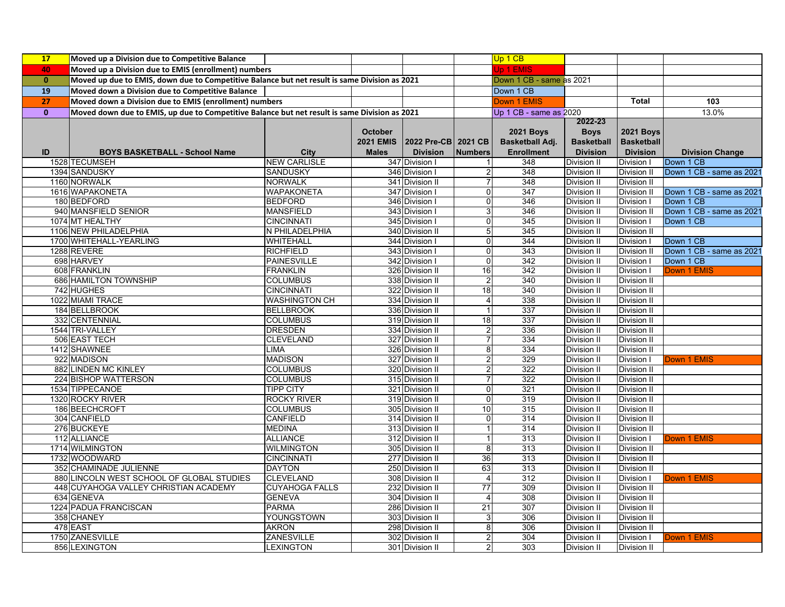| 17           | Moved up a Division due to Competitive Balance                                                |                                   |                  |                                    |                               | Up 1 CB                  |                            |                            |                          |
|--------------|-----------------------------------------------------------------------------------------------|-----------------------------------|------------------|------------------------------------|-------------------------------|--------------------------|----------------------------|----------------------------|--------------------------|
| 40           | Moved up a Division due to EMIS (enrollment) numbers                                          |                                   |                  |                                    |                               | Up 1 EMIS                |                            |                            |                          |
| $\mathbf{0}$ | Moved up due to EMIS, down due to Competitive Balance but net result is same Division as 2021 |                                   |                  |                                    |                               | Down 1 CB - same as 2021 |                            |                            |                          |
| 19           | Moved down a Division due to Competitive Balance                                              |                                   |                  |                                    |                               | Down 1 CB                |                            |                            |                          |
| 27           | Moved down a Division due to EMIS (enrollment) numbers                                        |                                   |                  |                                    |                               | Down 1 EMIS              |                            | <b>Total</b>               | 103                      |
| $\mathbf{0}$ | Moved down due to EMIS, up due to Competitive Balance but net result is same Division as 2021 |                                   |                  |                                    |                               | Up 1 CB - same as 2020   |                            |                            | 13.0%                    |
|              |                                                                                               |                                   |                  |                                    |                               |                          | 2022-23                    |                            |                          |
|              |                                                                                               |                                   | <b>October</b>   |                                    |                               | <b>2021 Boys</b>         | <b>Boys</b>                | <b>2021 Boys</b>           |                          |
|              |                                                                                               |                                   | <b>2021 EMIS</b> | 2022 Pre-CB 2021 CB                |                               | Basketball Adj.          | <b>Basketball</b>          | <b>Basketball</b>          |                          |
| ID           | <b>BOYS BASKETBALL - School Name</b>                                                          | <b>City</b>                       | <b>Males</b>     | <b>Division</b>                    | <b>Numbers</b>                | <b>Enrollment</b>        | <b>Division</b>            | <b>Division</b>            | <b>Division Change</b>   |
|              | 1528 TECUMSEH                                                                                 | <b>NEW CARLISLE</b>               |                  | 347 Division I                     |                               | 348                      | Division II                | Division I                 | Down 1 CB                |
|              | 1394 SANDUSKY                                                                                 | <b>SANDUSKY</b>                   |                  | 346 Division I                     |                               | 348                      | Division II                | Division II                | Down 1 CB - same as 2021 |
|              | 1160 NORWALK                                                                                  | <b>NORWALK</b>                    |                  | 341 Division II                    |                               | 348                      | Division II                | Division II                |                          |
|              | 1616 WAPAKONETA                                                                               | <b>WAPAKONETA</b>                 |                  | 347 Division I                     | $\Omega$                      | 347                      | Division II                | Division II                | Down 1 CB - same as 2021 |
|              | 180 BEDFORD                                                                                   | <b>BEDFORD</b>                    |                  | 346 Division I                     | 0                             | 346                      | Division II                | Division I                 | Down 1 CB                |
|              | 940 MANSFIELD SENIOR                                                                          | <b>MANSFIELD</b>                  |                  | 343 Division I                     | 3                             | 346                      | Division II                | Division II                | Down 1 CB - same as 2021 |
|              | 1074 MT HEALTHY                                                                               | <b>CINCINNATI</b>                 |                  | 345 Division I                     | 0                             | 345                      | Division II                | Division I                 | Down 1 CB                |
|              | 1106 NEW PHILADELPHIA                                                                         | N PHILADELPHIA                    |                  | 340 Division II                    | 5                             | 345                      | <b>Division II</b>         | Division II                |                          |
|              | 1700 WHITEHALL-YEARLING                                                                       | <b>WHITEHALL</b>                  |                  | 344 Division I                     | $\mathsf{O}\xspace$           | 344                      | Division II                | Division I                 | Down 1 CB                |
|              | 1288 REVERE                                                                                   | <b>RICHFIELD</b>                  |                  | 343 Division I                     | O                             | $\overline{343}$         | <b>Division II</b>         | Division II                | Down 1 CB - same as 2021 |
|              | 698 HARVEY                                                                                    | <b>PAINESVILLE</b>                |                  | 342 Division I                     | 0                             | 342                      | <b>Division II</b>         | Division I                 | Down 1 CB                |
|              | 608 FRANKLIN                                                                                  | <b>FRANKLIN</b>                   |                  | 326 Division II                    | 16                            | 342                      | Division II                | Division I                 | Down 1 EMIS              |
|              | 686 HAMILTON TOWNSHIP                                                                         | <b>COLUMBUS</b>                   |                  | 338 Division II                    | 2                             | 340                      | Division II                | Division II                |                          |
|              | 742 HUGHES                                                                                    | <b>CINCINNATI</b>                 |                  | 322 Division II                    | 18                            | 340                      | Division II                | Division II                |                          |
|              | 1022 MIAMI TRACE                                                                              | <b>WASHINGTON CH</b>              |                  | 334 Division II                    | 4                             | 338                      | <b>Division II</b>         | <b>Division II</b>         |                          |
|              | 184 BELLBROOK                                                                                 | <b>BELLBROOK</b>                  |                  | 336 Division II                    | $\mathbf 1$                   | 337                      | Division II                | Division II                |                          |
|              | 332 CENTENNIAL                                                                                | <b>COLUMBUS</b>                   |                  | 319 Division II                    | 18                            | 337                      | <b>Division II</b>         | Division II                |                          |
|              | 1544 TRI-VALLEY                                                                               | <b>DRESDEN</b>                    |                  | 334 Division II                    | $\overline{\mathbf{c}}$       | 336                      | <b>Division II</b>         | Division II                |                          |
|              | 506 EAST TECH                                                                                 | <b>CLEVELAND</b>                  |                  | 327 Division II                    | $\overline{7}$                | 334                      | <b>Division II</b>         | Division II                |                          |
|              | 1412 SHAWNEE                                                                                  | <b>LIMA</b>                       |                  | 326 Division II                    | 8                             | 334                      | Division II                | <b>Division II</b>         |                          |
|              | 922 MADISON                                                                                   | <b>MADISON</b>                    |                  | 327 Division II                    | $\overline{2}$                | 329                      | <b>Division II</b>         | Division I                 | Down 1 EMIS              |
|              | 882 LINDEN MC KINLEY                                                                          | <b>COLUMBUS</b>                   |                  | 320 Division II                    |                               | 322                      | Division II                | Division II                |                          |
|              | 224 BISHOP WATTERSON                                                                          | <b>COLUMBUS</b>                   |                  | 315 Division II                    |                               | 322                      | Division II                | Division II                |                          |
|              | 1534 TIPPECANOE                                                                               | <b>TIPP CITY</b>                  |                  | 321 Division II                    | 0                             | 321                      | Division II                | Division II                |                          |
|              | 1320 ROCKY RIVER                                                                              | <b>ROCKY RIVER</b>                |                  | 319 Division II                    | $\Omega$                      | 319                      | Division II                | Division II                |                          |
|              | 186 BEECHCROFT                                                                                | <b>COLUMBUS</b>                   |                  | 305 Division II                    | 10                            | 315                      | Division II                | Division II                |                          |
|              | 304 CANFIELD                                                                                  | <b>CANFIELD</b>                   |                  | 314 Division II                    | 0                             | 314                      | Division II                | Division II                |                          |
|              | 276 BUCKEYE                                                                                   | <b>MEDINA</b>                     |                  | 313 Division II                    |                               | 314                      | Division II                | Division II                |                          |
|              | 112 ALLIANCE                                                                                  | <b>ALLIANCE</b>                   |                  | 312 Division II                    |                               | 313                      | Division II                | Division I                 | Down 1 EMIS              |
|              | 1714 WILMINGTON                                                                               | <b>WILMINGTON</b>                 |                  | 305 Division II                    | 8                             | 313                      | <b>Division II</b>         | Division II                |                          |
|              | 1732 WOODWARD                                                                                 | <b>CINCINNATI</b>                 |                  | 277 Division II                    | 36                            | $\overline{313}$         | <b>Division II</b>         | Division II                |                          |
|              | 352 CHAMINADE JULIENNE<br>880 LINCOLN WEST SCHOOL OF GLOBAL STUDIES                           | <b>DAYTON</b><br><b>CLEVELAND</b> |                  | 250 Division II                    | 63<br>$\overline{\mathbf{4}}$ | 313<br>$\overline{312}$  | <b>Division II</b>         | <b>Division II</b>         |                          |
|              | 448 CUYAHOGA VALLEY CHRISTIAN ACADEMY                                                         | <b>CUYAHOGA FALLS</b>             |                  | 308 Division II<br>232 Division II | 77                            | 309                      | Division II                | Division I                 | Down 1 EMIS              |
|              | 634 GENEVA                                                                                    | <b>GENEVA</b>                     |                  | 304 Division II                    | 4                             | 308                      | Division II<br>Division II | Division II<br>Division II |                          |
|              | 1224 PADUA FRANCISCAN                                                                         | <b>PARMA</b>                      |                  | 286 Division II                    | 21                            | 307                      | <b>Division II</b>         | Division II                |                          |
|              | 358 CHANEY                                                                                    | YOUNGSTOWN                        |                  | 303 Division II                    | 3                             | 306                      | <b>Division II</b>         | Division II                |                          |
|              | 478 EAST                                                                                      | <b>AKRON</b>                      |                  | 298 Division II                    | 8                             | 306                      | Division II                | Division II                |                          |
|              | 1750 ZANESVILLE                                                                               | <b>ZANESVILLE</b>                 |                  | 302 Division II                    | 2                             | 304                      | Division II                | Division I                 | Down 1 EMIS              |
|              | 856 LEXINGTON                                                                                 | <b>LEXINGTON</b>                  |                  | 301 Division II                    | $\overline{a}$                | 303                      | Division II                | Division II                |                          |
|              |                                                                                               |                                   |                  |                                    |                               |                          |                            |                            |                          |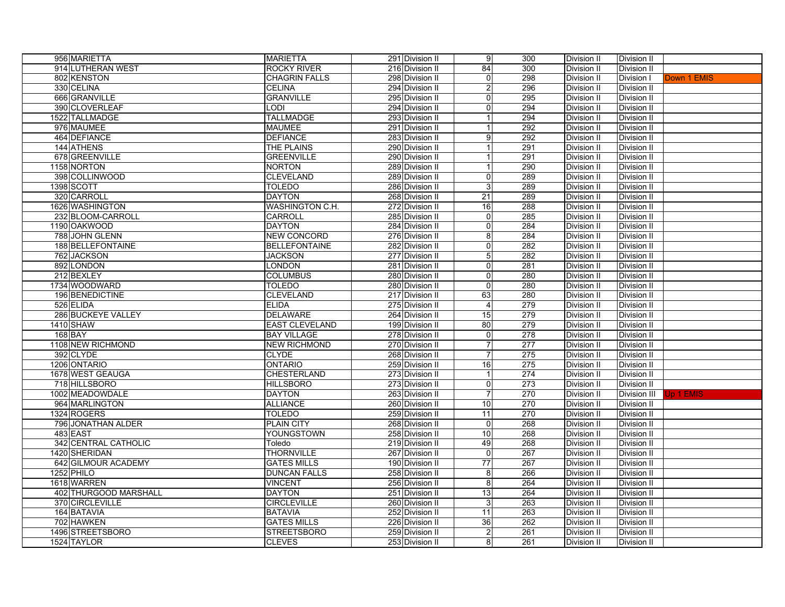| 956 MARIETTA             | <b>MARIETTA</b>        | 291 Division II | 9               | 300              | Division II        | Division II         |             |
|--------------------------|------------------------|-----------------|-----------------|------------------|--------------------|---------------------|-------------|
| 914 LUTHERAN WEST        | <b>ROCKY RIVER</b>     | 216 Division II | 84              | 300              | Division II        | Division II         |             |
| 802 KENSTON              | <b>CHAGRIN FALLS</b>   | 298 Division II | 0               | 298              | Division II        | Division I          | Down 1 EMIS |
| 330 CELINA               | <b>CELINA</b>          | 294 Division II | $\overline{2}$  | 296              | Division II        | Division II         |             |
| 666 GRANVILLE            | <b>GRANVILLE</b>       | 295 Division II | 0               | 295              | Division II        | Division II         |             |
| 390 CLOVERLEAF           | <b>LODI</b>            | 294 Division II | 0               | 294              | Division II        | Division II         |             |
| 1522 TALLMADGE           | <b>TALLMADGE</b>       | 293 Division II | $\mathbf 1$     | 294              | <b>Division II</b> | Division II         |             |
| 976 MAUMEE               | <b>MAUMEE</b>          | 291 Division II | 1               | 292              | Division II        | Division II         |             |
| 464 DEFIANCE             | <b>DEFIANCE</b>        | 283 Division II | 9               | 292              | Division II        | Division II         |             |
| 144 ATHENS               | THE PLAINS             | 290 Division II | 1               | 291              | Division II        | Division II         |             |
| 678 GREENVILLE           | <b>GREENVILLE</b>      | 290 Division II | 1               | 291              | Division II        | Division II         |             |
| 1158 NORTON              | <b>NORTON</b>          | 289 Division II | $\mathbf 1$     | 290              | Division II        | Division II         |             |
| 398 COLLINWOOD           | <b>CLEVELAND</b>       | 289 Division II | 0               | 289              | Division II        | Division II         |             |
| 1398 SCOTT               | <b>TOLEDO</b>          | 286 Division II | 3               | 289              | Division II        | Division II         |             |
| 320 CARROLL              | <b>DAYTON</b>          | 268 Division II | 21              | 289              | Division II        | Division II         |             |
| 1626 WASHINGTON          | <b>WASHINGTON C.H.</b> | 272 Division II | 16              | 288              | Division II        | Division II         |             |
| 232 BLOOM-CARROLL        | CARROLL                | 285 Division II | 0               | 285              | Division II        | Division II         |             |
| 1190 OAKWOOD             | <b>DAYTON</b>          | 284 Division II | 0               | 284              | Division II        | Division II         |             |
| 788 JOHN GLENN           | <b>NEW CONCORD</b>     | 276 Division II | 8               | 284              | Division II        | Division II         |             |
| <b>188 BELLEFONTAINE</b> | <b>BELLEFONTAINE</b>   | 282 Division II | 0               | 282              | Division II        | Division II         |             |
| 762 JACKSON              | <b>JACKSON</b>         | 277 Division II | 5               | 282              | Division II        | Division II         |             |
| 892 LONDON               | <b>LONDON</b>          | 281 Division II | 0               | 281              | Division II        | Division II         |             |
| 212 BEXLEY               | <b>COLUMBUS</b>        | 280 Division II | $\overline{0}$  | 280              | Division II        | Division II         |             |
| 1734 WOODWARD            | <b>TOLEDO</b>          | 280 Division II | 0               | 280              | Division II        | Division II         |             |
| 196 BENEDICTINE          | <b>CLEVELAND</b>       | 217 Division II | 63              | 280              | Division II        | Division II         |             |
| 526 ELIDA                | <b>ELIDA</b>           | 275 Division II | $\vert$         | 279              | Division II        | Division II         |             |
| 286 BUCKEYE VALLEY       | <b>DELAWARE</b>        | 264 Division II | 15              | 279              | <b>Division II</b> | Division II         |             |
| 1410 SHAW                | <b>EAST CLEVELAND</b>  | 199 Division II | 80              | 279              | Division II        | Division II         |             |
| 168 BAY                  | <b>BAY VILLAGE</b>     | 278 Division II | $\overline{0}$  | 278              | Division II        | <b>Division II</b>  |             |
| 1108 NEW RICHMOND        | <b>NEW RICHMOND</b>    | 270 Division II | $\overline{7}$  | 277              | <b>Division II</b> | Division II         |             |
| 392 CLYDE                | <b>CLYDE</b>           | 268 Division II | $\overline{7}$  | 275              | Division II        | Division II         |             |
| 1206 ONTARIO             | <b>ONTARIO</b>         | 259 Division II | 16              | 275              | Division II        | Division II         |             |
| 1678 WEST GEAUGA         | <b>CHESTERLAND</b>     | 273 Division II | $\overline{1}$  | 274              | Division II        | Division II         |             |
| 718 HILLSBORO            | <b>HILLSBORO</b>       | 273 Division II | 0               | 273              | <b>Division II</b> | Division II         |             |
| 1002 MEADOWDALE          | <b>DAYTON</b>          | 263 Division II | $\overline{7}$  | 270              | Division II        | <b>Division III</b> | Jp 1 EMIS   |
| 964 MARLINGTON           | <b>ALLIANCE</b>        | 260 Division II | 10              | 270              | Division II        | Division II         |             |
| 1324 ROGERS              | <b>TOLEDO</b>          | 259 Division II | 11              | 270              | <b>Division II</b> | <b>Division II</b>  |             |
| 796 JONATHAN ALDER       | <b>PLAIN CITY</b>      | 268 Division II | 0               | 268              | Division II        | Division II         |             |
| 483 EAST                 | YOUNGSTOWN             | 258 Division II | 10              | 268              | Division II        | Division II         |             |
| 342 CENTRAL CATHOLIC     | Toledo                 | 219 Division II | 49              | 268              | Division II        | <b>Division II</b>  |             |
| 1420 SHERIDAN            | <b>THORNVILLE</b>      | 267 Division II | $\overline{0}$  | 267              | Division II        | <b>Division II</b>  |             |
| 642 GILMOUR ACADEMY      | <b>GATES MILLS</b>     | 190 Division II | $\overline{77}$ | $\overline{267}$ | Division II        | Division II         |             |
| 1252 PHILO               | <b>DUNCAN FALLS</b>    | 258 Division II | 8 <sup>1</sup>  | 266              | Division II        | <b>Division II</b>  |             |
| 1618 WARREN              | <b>VINCENT</b>         | 256 Division II | 8               | 264              | Division II        | Division II         |             |
| 402 THURGOOD MARSHALL    | <b>DAYTON</b>          | 251 Division II | $\overline{13}$ | 264              | Division II        | Division II         |             |
| 370 CIRCLEVILLE          | <b>CIRCLEVILLE</b>     | 260 Division II | 3               | 263              | Division II        | Division II         |             |
| 164 BATAVIA              | <b>BATAVIA</b>         | 252 Division II | 11              | 263              | Division II        | Division II         |             |
| 702 HAWKEN               | <b>GATES MILLS</b>     | 226 Division II | 36              | 262              | Division II        | Division II         |             |
| 1496 STREETSBORO         | <b>STREETSBORO</b>     | 259 Division II | $\overline{2}$  | 261              | Division II        | Division II         |             |
| 1524 TAYLOR              | <b>CLEVES</b>          | 253 Division II | 8               | 261              | Division II        | Division II         |             |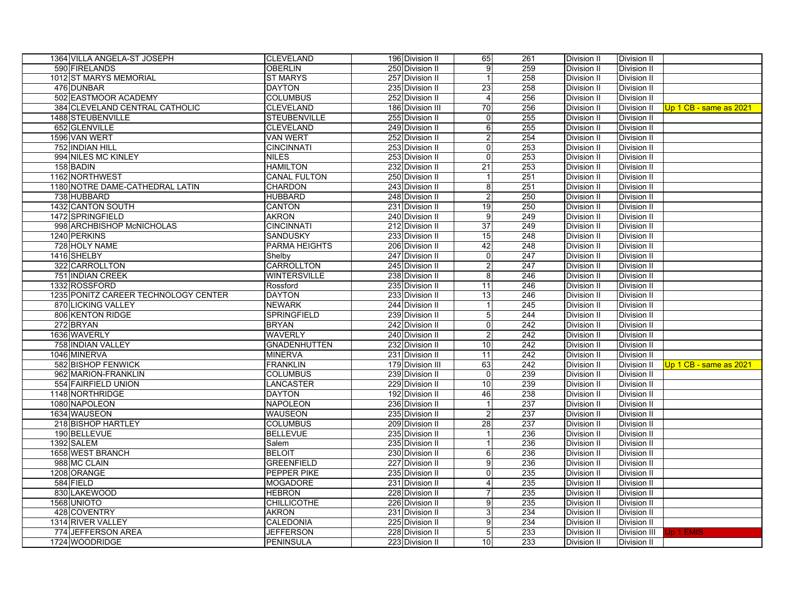| 1364 VILLA ANGELA-ST JOSEPH          | <b>CLEVELAND</b>     | 196 Division II  | 65               | 261 | Division II        | Division II         |                        |
|--------------------------------------|----------------------|------------------|------------------|-----|--------------------|---------------------|------------------------|
| 590 FIRELANDS                        | <b>OBERLIN</b>       | 250 Division II  | 9                | 259 | Division II        | Division II         |                        |
| 1012 ST MARYS MEMORIAL               | <b>ST MARYS</b>      | 257 Division II  | $\mathbf{1}$     | 258 | Division II        | Division II         |                        |
| 476 DUNBAR                           | <b>DAYTON</b>        | 235 Division II  | 23               | 258 | Division II        | Division II         |                        |
| 502 EASTMOOR ACADEMY                 | <b>COLUMBUS</b>      | 252 Division II  | $\overline{4}$   | 256 | Division II        | Division II         |                        |
| 384 CLEVELAND CENTRAL CATHOLIC       | <b>CLEVELAND</b>     | 186 Division III | 70               | 256 | <b>Division II</b> | Division II         | Up 1 CB - same as 2021 |
| 1488 STEUBENVILLE                    | <b>STEUBENVILLE</b>  | 255 Division II  | 0                | 255 | Division II        | Division II         |                        |
| 652 GLENVILLE                        | <b>CLEVELAND</b>     | 249 Division II  | $\overline{6}$   | 255 | Division II        | Division II         |                        |
| 1596 VAN WERT                        | <b>VAN WERT</b>      | 252 Division II  | $\overline{2}$   | 254 | Division II        | Division II         |                        |
| 752 INDIAN HILL                      | <b>CINCINNATI</b>    | 253 Division II  | $\overline{0}$   | 253 | Division II        | Division II         |                        |
| 994 NILES MC KINLEY                  | <b>NILES</b>         | 253 Division II  | $\overline{0}$   | 253 | Division II        | Division II         |                        |
| 158 BADIN                            | <b>HAMILTON</b>      | 232 Division II  | 21               | 253 | Division II        | Division II         |                        |
| 1162 NORTHWEST                       | <b>CANAL FULTON</b>  | 250 Division II  |                  | 251 | Division II        | Division II         |                        |
| 1180 NOTRE DAME-CATHEDRAL LATIN      | <b>CHARDON</b>       | 243 Division II  | 8                | 251 | Division II        | Division II         |                        |
| 738 HUBBARD                          | <b>HUBBARD</b>       | 248 Division II  | $\boldsymbol{2}$ | 250 | Division II        | Division II         |                        |
| 1432 CANTON SOUTH                    | CANTON               | 231 Division II  | 19               | 250 | Division II        | Division II         |                        |
| 1472 SPRINGFIELD                     | <b>AKRON</b>         | 240 Division II  | $\overline{9}$   | 249 | Division II        | Division II         |                        |
| 998 ARCHBISHOP McNICHOLAS            | <b>CINCINNATI</b>    | 212 Division II  | 37               | 249 | Division II        | Division II         |                        |
| 1240 PERKINS                         | <b>SANDUSKY</b>      | 233 Division II  | 15               | 248 | Division II        | Division II         |                        |
| 728 HOLY NAME                        | <b>PARMA HEIGHTS</b> | 206 Division II  | 42               | 248 | Division II        | Division II         |                        |
| 1416 SHELBY                          | Shelby               | 247 Division II  | 0                | 247 | Division II        | Division II         |                        |
| 322 CARROLLTON                       | <b>CARROLLTON</b>    | 245 Division II  | 2                | 247 | <b>Division II</b> | Division II         |                        |
| 751 INDIAN CREEK                     | <b>WINTERSVILLE</b>  | 238 Division II  | 8                | 246 | Division II        | Division II         |                        |
| 1332 ROSSFORD                        | Rossford             | 235 Division II  | 11               | 246 | Division II        | Division II         |                        |
| 1235 PONITZ CAREER TECHNOLOGY CENTER | <b>DAYTON</b>        | 233 Division II  | 13               | 246 | <b>Division II</b> | Division II         |                        |
| 870 LICKING VALLEY                   | <b>NEWARK</b>        | 244 Division II  |                  | 245 | Division II        | Division II         |                        |
| 806 KENTON RIDGE                     | <b>SPRINGFIELD</b>   | 239 Division II  | 5                | 244 | Division II        | Division II         |                        |
| 272 BRYAN                            | <b>BRYAN</b>         | 242 Division II  | $\overline{0}$   | 242 | Division II        | Division II         |                        |
| 1636 WAVERLY                         | <b>WAVERLY</b>       | 240 Division II  | $\overline{2}$   | 242 | Division II        | Division II         |                        |
| 758 INDIAN VALLEY                    | <b>GNADENHUTTEN</b>  | 232 Division II  | 10               | 242 | Division II        | Division II         |                        |
| 1046 MINERVA                         | <b>MINERVA</b>       | 231 Division II  | 11               | 242 | <b>Division II</b> | Division II         |                        |
| 582 BISHOP FENWICK                   | <b>FRANKLIN</b>      | 179 Division III | 63               | 242 | Division II        | Division II         | Up 1 CB - same as 2021 |
| 962 MARION-FRANKLIN                  | <b>COLUMBUS</b>      | 239 Division II  | $\overline{0}$   | 239 | <b>Division II</b> | Division II         |                        |
| 554 FAIRFIELD UNION                  | LANCASTER            | 229 Division II  | 10               | 239 | Division II        | Division II         |                        |
| 1148 NORTHRIDGE                      | <b>DAYTON</b>        | 192 Division II  | 46               | 238 | <b>Division II</b> | Division II         |                        |
| 1080 NAPOLEON                        | <b>NAPOLEON</b>      | 236 Division II  | 1                | 237 | Division II        | Division II         |                        |
| 1634 WAUSEON                         | <b>WAUSEON</b>       | 235 Division II  | $\overline{a}$   | 237 | Division II        | Division II         |                        |
| 218 BISHOP HARTLEY                   | <b>COLUMBUS</b>      | 209 Division II  | 28               | 237 | Division II        | Division II         |                        |
| 190 BELLEVUE                         | <b>BELLEVUE</b>      | 235 Division II  | 1                | 236 | Division II        | Division II         |                        |
| 1392 SALEM                           | Salem                | 235 Division II  | 1                | 236 | Division II        | Division II         |                        |
| 1658 WEST BRANCH                     | <b>BELOIT</b>        | 230 Division II  | $6 \mid$         | 236 | Division II        | Division II         |                        |
| 988 MC CLAIN                         | <b>GREENFIELD</b>    | 227 Division II  | 9                | 236 | Division II        | Division II         |                        |
| 1208 ORANGE                          | PEPPER PIKE          | 235 Division II  | $\pmb{0}$        | 235 | Division II        | Division II         |                        |
| 584 FIELD                            | <b>MOGADORE</b>      | 231 Division II  | 4                | 235 | Division II        | Division II         |                        |
| 830 LAKEWOOD                         | <b>HEBRON</b>        | 228 Division II  | $\overline{7}$   | 235 | Division II        | Division II         |                        |
| 1568 UNIOTO                          | <b>CHILLICOTHE</b>   | 226 Division II  | 9                | 235 | Division II        | Division II         |                        |
| 428 COVENTRY                         | <b>AKRON</b>         | 231 Division II  | 3                | 234 | Division II        | Division II         |                        |
| 1314 RIVER VALLEY                    | <b>CALEDONIA</b>     | 225 Division II  | $\overline{9}$   | 234 | Division II        | Division II         |                        |
| 774 JEFFERSON AREA                   | <b>JEFFERSON</b>     | 228 Division II  | 5                | 233 | Division II        | <b>Division III</b> | Jp 1 EMIS              |
| 1724 WOODRIDGE                       | <b>PENINSULA</b>     | 223 Division II  | 10               | 233 | Division II        | Division II         |                        |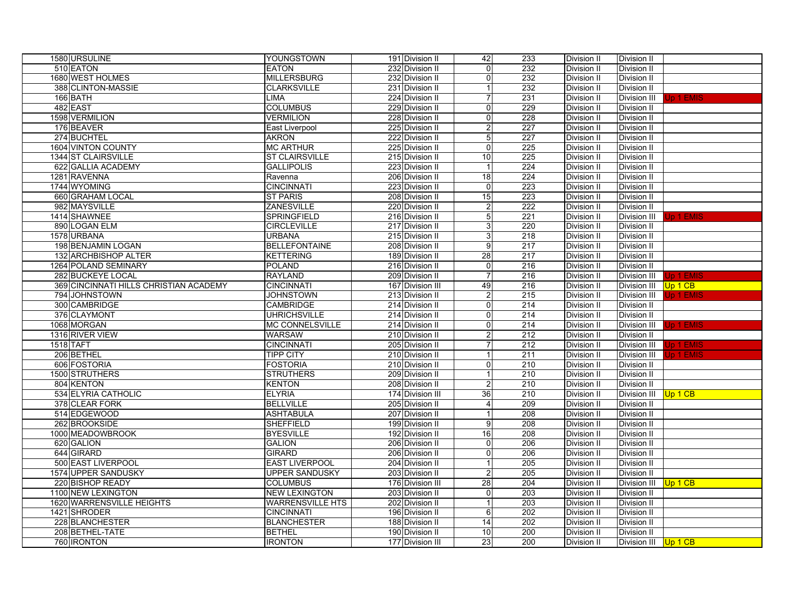| 1580 URSULINE                          | YOUNGSTOWN              | 191 Division II  | 42             | 233              | Division II        | Division II          |                 |
|----------------------------------------|-------------------------|------------------|----------------|------------------|--------------------|----------------------|-----------------|
| 510 EATON                              | <b>EATON</b>            | 232 Division II  | $\overline{0}$ | 232              | <b>Division II</b> | Division II          |                 |
| 1680 WEST HOLMES                       | <b>MILLERSBURG</b>      | 232 Division II  | $\mathbf 0$    | 232              | <b>Division II</b> | Division II          |                 |
| 388 CLINTON-MASSIE                     | <b>CLARKSVILLE</b>      | 231 Division II  | $\mathbf 1$    | 232              | Division II        | <b>Division II</b>   |                 |
| 166 BATH                               | LIMA                    | 224 Division II  | 7              | 231              | <b>Division II</b> | Division III         | Jp 1 EMIS       |
| 482 EAST                               | <b>COLUMBUS</b>         | 229 Division II  | 0              | 229              | Division II        | Division II          |                 |
| 1598 VERMILION                         | <b>VERMILION</b>        | 228 Division II  | $\mathbf 0$    | 228              | Division II        | Division II          |                 |
| 176 BEAVER                             | East Liverpool          | 225 Division II  | 2              | 227              | <b>Division II</b> | Division II          |                 |
| 274 BUCHTEL                            | <b>AKRON</b>            | 222 Division II  | 5              | 227              | Division II        | Division II          |                 |
| 1604 VINTON COUNTY                     | <b>MC ARTHUR</b>        | 225 Division II  | $\overline{0}$ | $\overline{225}$ | <b>Division II</b> | Division II          |                 |
| 1344 ST CLAIRSVILLE                    | <b>ST CLAIRSVILLE</b>   | 215 Division II  | 10             | 225              | <b>Division II</b> | Division II          |                 |
| 622 GALLIA ACADEMY                     | <b>GALLIPOLIS</b>       | 223 Division II  | 1              | 224              | Division II        | Division II          |                 |
| 1281 RAVENNA                           | Ravenna                 | 206 Division II  | 18             | $\overline{224}$ | <b>Division II</b> | Division II          |                 |
| 1744 WYOMING                           | <b>CINCINNATI</b>       | 223 Division II  | 0              | 223              | Division II        | Division II          |                 |
| 660 GRAHAM LOCAL                       | <b>ST PARIS</b>         | 208 Division II  | 15             | 223              | Division II        | Division II          |                 |
| 982 MAYSVILLE                          | ZANESVILLE              | 220 Division II  | $\overline{c}$ | 222              | <b>Division II</b> | Division II          |                 |
| 1414 SHAWNEE                           | SPRINGFIELD             | 216 Division II  | 5              | 221              | Division II        | Division III         | Jp 1 EMIS       |
| 890 LOGAN ELM                          | <b>CIRCLEVILLE</b>      | 217 Division II  | 3              | 220              | Division II        | <b>Division II</b>   |                 |
| 1578 URBANA                            | <b>URBANA</b>           | 215 Division II  | 3              | 218              | <b>Division II</b> | Division II          |                 |
| 198 BENJAMIN LOGAN                     | <b>BELLEFONTAINE</b>    | 208 Division II  | 9              | 217              | Division II        | Division II          |                 |
| 132 ARCHBISHOP ALTER                   | <b>KETTERING</b>        | 189 Division II  | 28             | 217              | Division II        | Division II          |                 |
| 1264 POLAND SEMINARY                   | <b>POLAND</b>           | 216 Division II  | $\mathbf 0$    | 216              | <b>Division II</b> | Division II          |                 |
| 282 BUCKEYE LOCAL                      | <b>RAYLAND</b>          | 209 Division II  | $\overline{7}$ | 216              | Division II        | Division III         | Jp 1 EMIS       |
| 369 CINCINNATI HILLS CHRISTIAN ACADEMY | <b>CINCINNATI</b>       | 167 Division III | 49             | 216              | <b>Division II</b> | Division III         | Up 1 CB         |
| 794 JOHNSTOWN                          | <b>JOHNSTOWN</b>        | 213 Division II  | $\overline{c}$ | 215              | <b>Division II</b> | Division III         | Jp 1 EMIS       |
| 300 CAMBRIDGE                          | <b>CAMBRIDGE</b>        | 214 Division II  | $\overline{0}$ | 214              | Division II        | Division II          |                 |
| 376 CLAYMONT                           | <b>UHRICHSVILLE</b>     | 214 Division II  | $\mathbf 0$    | 214              | <b>Division II</b> | Division II          |                 |
| 1068 MORGAN                            | MC CONNELSVILLE         | 214 Division II  | $\mathbf 0$    | 214              | Division II        | Division III         | Jp 1 EMIS       |
| 1316 RIVER VIEW                        | <b>WARSAW</b>           | 210 Division II  | $\overline{c}$ | 212              | Division II        | Division II          |                 |
| 1518 TAFT                              | <b>CINCINNATI</b>       | 205 Division II  | $\overline{7}$ | 212              | Division II        | <b>Division III</b>  | Jp 1 EMIS       |
| 206 BETHEL                             | <b>TIPP CITY</b>        | 210 Division II  | $\mathbf{1}$   | 211              | <b>Division II</b> | Division III         | <b>b</b> 1 EMIS |
| 606 FOSTORIA                           | <b>FOSTORIA</b>         | 210 Division II  | $\mathbf 0$    | 210              | Division II        | Division II          |                 |
| 1500 STRUTHERS                         | <b>STRUTHERS</b>        | 209 Division II  | $\mathbf{1}$   | 210              | <b>Division II</b> | Division II          |                 |
| 804 KENTON                             | <b>KENTON</b>           | 208 Division II  | $\overline{c}$ | 210              | Division II        | Division II          |                 |
| 534 ELYRIA CATHOLIC                    | <b>ELYRIA</b>           | 174 Division III | 36             | 210              | <b>Division II</b> | Division III         | Up 1 CB         |
| 378 CLEAR FORK                         | <b>BELLVILLE</b>        | 205 Division II  | 4              | 209              | Division II        | Division II          |                 |
| 514 EDGEWOOD                           | <b>ASHTABULA</b>        | 207 Division II  | $\mathbf{1}$   | 208              | Division II        | <b>Division II</b>   |                 |
| 262 BROOKSIDE                          | <b>SHEFFIELD</b>        | 199 Division II  | 9              | 208              | <b>Division II</b> | Division II          |                 |
| 1000 MEADOWBROOK                       | <b>BYESVILLE</b>        | 192 Division II  | 16             | 208              | Division II        | <b>Division II</b>   |                 |
| 620 GALION                             | <b>GALION</b>           | 206 Division II  | 0              | 206              | Division II        | Division II          |                 |
| 644 GIRARD                             | <b>GIRARD</b>           | 206 Division II  | $\mathbf 0$    | 206              | <b>Division II</b> | Division II          |                 |
| 500 EAST LIVERPOOL                     | <b>EAST LIVERPOOL</b>   | 204 Division II  |                | 205              | <b>Division II</b> | Division II          |                 |
| 1574 UPPER SANDUSKY                    | <b>UPPER SANDUSKY</b>   | 203 Division II  | $\overline{c}$ | 205              | <b>Division II</b> | <b>Division II</b>   |                 |
| 220 BISHOP READY                       | <b>COLUMBUS</b>         | 176 Division III | 28             | 204              | Division II        | <b>Division III</b>  | Up 1 CB         |
| 1100 NEW LEXINGTON                     | <b>NEW LEXINGTON</b>    | 203 Division II  | $\mathbf 0$    | 203              | Division II        | Division II          |                 |
| 1620 WARRENSVILLE HEIGHTS              | <b>WARRENSVILLE HTS</b> | 202 Division II  | $\mathbf{1}$   | 203              | <b>Division II</b> | Division II          |                 |
| 1421 SHRODER                           | <b>CINCINNATI</b>       | 196 Division II  | $\,6$          | 202              | Division II        | <b>Division II</b>   |                 |
| 228 BLANCHESTER                        | <b>BLANCHESTER</b>      | 188 Division II  | 14             | 202              | <b>Division II</b> | Division II          |                 |
| 208 BETHEL-TATE                        | <b>BETHEL</b>           | 190 Division II  | 10             | 200              | Division II        | Division II          |                 |
| 760 IRONTON                            | <b>IRONTON</b>          | 177 Division III | 23             | 200              |                    |                      |                 |
|                                        |                         |                  |                |                  | Division II        | Division III Up 1 CB |                 |